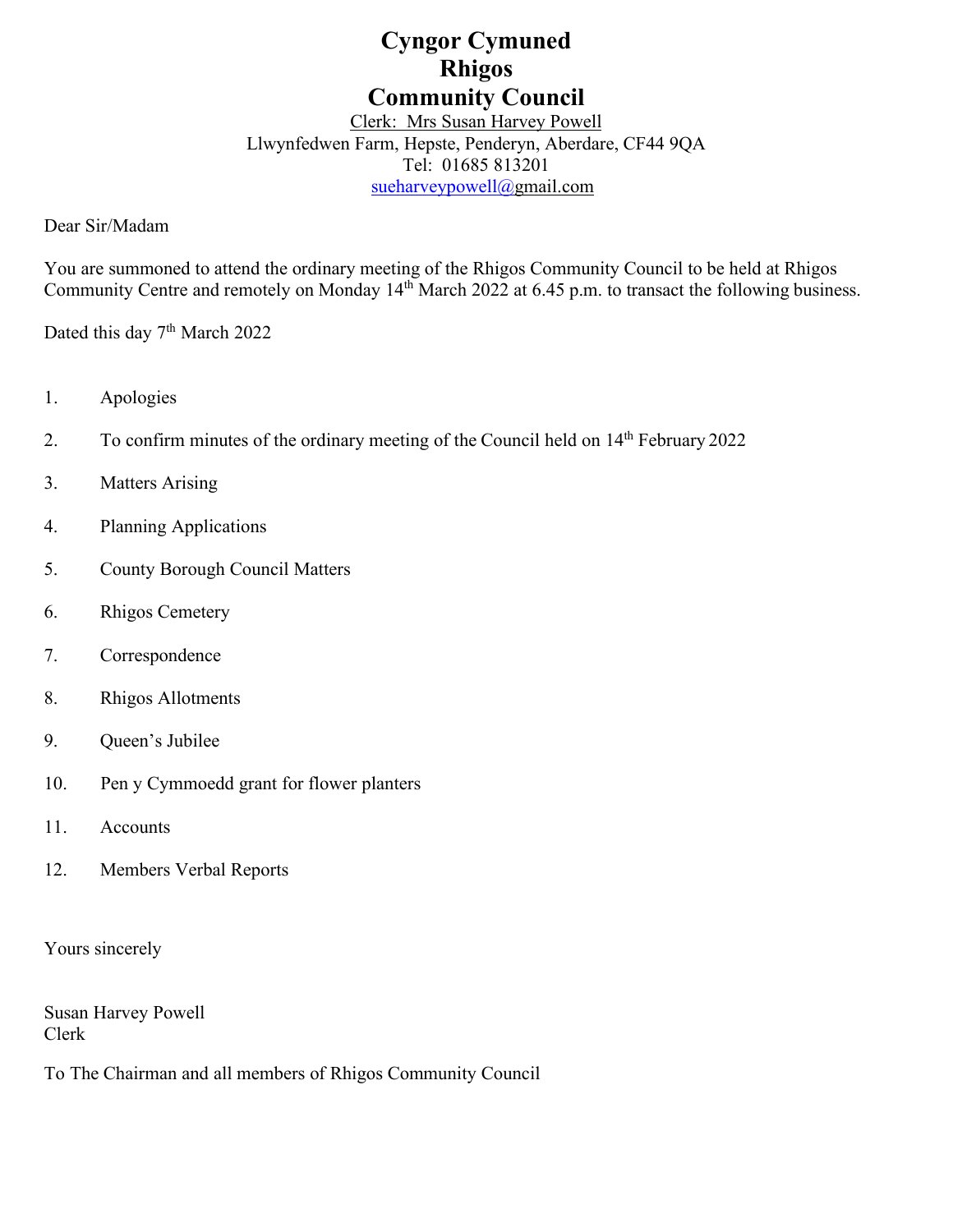# **Cyngor Cymuned Rhigos Community Council**

## Clerk: Mrs Susan Harvey Powell Llwynfedwen Farm, Hepste, Penderyn, Aberdare, CF44 9QA Tel: 01685 813201 [sueharveypowell@g](mailto:sharveypowell@comin-infants.co.uk)mail.com

Dear Sir/Madam

You are summoned to attend the ordinary meeting of the Rhigos Community Council to be held at Rhigos Community Centre and remotely on Monday 14<sup>th</sup> March 2022 at 6.45 p.m. to transact the following business.

Dated this day 7<sup>th</sup> March 2022

- 1. Apologies
- 2. To confirm minutes of the ordinary meeting of the Council held on  $14<sup>th</sup>$  February 2022
- 3. Matters Arising
- 4. Planning Applications
- 5. County Borough Council Matters
- 6. Rhigos Cemetery
- 7. Correspondence
- 8. Rhigos Allotments
- 9. Queen's Jubilee
- 10. Pen y Cymmoedd grant for flower planters
- 11. Accounts
- 12. Members Verbal Reports

Yours sincerely

Susan Harvey Powell Clerk

To The Chairman and all members of Rhigos Community Council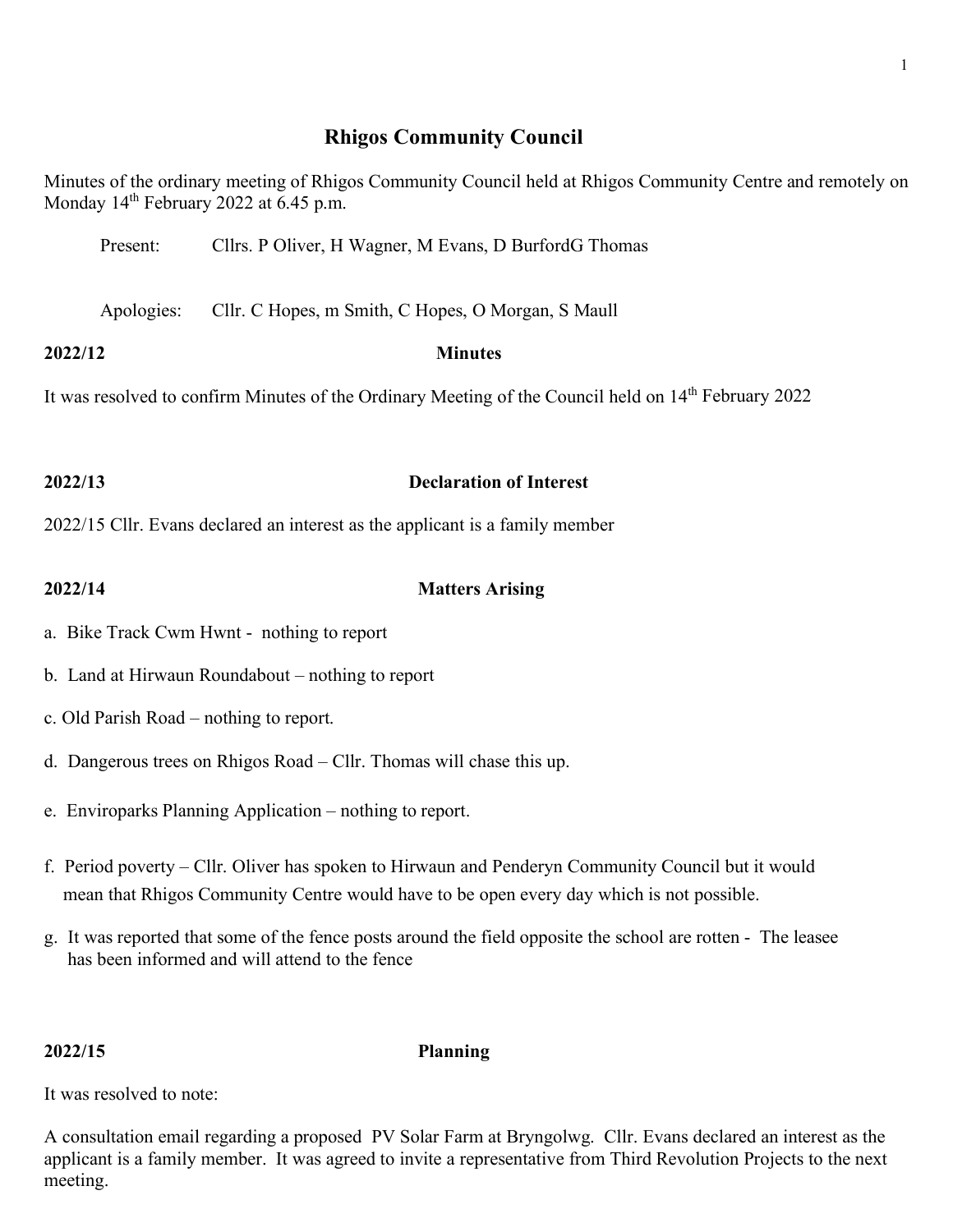# **Rhigos Community Council**

Minutes of the ordinary meeting of Rhigos Community Council held at Rhigos Community Centre and remotely on Monday  $14<sup>th</sup>$  February 2022 at 6.45 p.m.

| Present: | Cllrs. P Oliver, H Wagner, M Evans, D BurfordG Thomas |
|----------|-------------------------------------------------------|
|----------|-------------------------------------------------------|

Apologies: Cllr. C Hopes, m Smith, C Hopes, O Morgan, S Maull

**2022/12 Minutes**

It was resolved to confirm Minutes of the Ordinary Meeting of the Council held on 14<sup>th</sup> February 2022

# **2022/13 Declaration of Interest**

2022/15 Cllr. Evans declared an interest as the applicant is a family member

## **2022/14 Matters Arising**

- a. Bike Track Cwm Hwnt nothing to report
- b. Land at Hirwaun Roundabout nothing to report
- c. Old Parish Road nothing to report.
- d. Dangerous trees on Rhigos Road Cllr. Thomas will chase this up.
- e. Enviroparks Planning Application nothing to report.
- f. Period poverty Cllr. Oliver has spoken to Hirwaun and Penderyn Community Council but it would mean that Rhigos Community Centre would have to be open every day which is not possible.
- g. It was reported that some of the fence posts around the field opposite the school are rotten The leasee has been informed and will attend to the fence

**2022/15 Planning**

It was resolved to note:

A consultation email regarding a proposed PV Solar Farm at Bryngolwg. Cllr. Evans declared an interest as the applicant is a family member. It was agreed to invite a representative from Third Revolution Projects to the next meeting.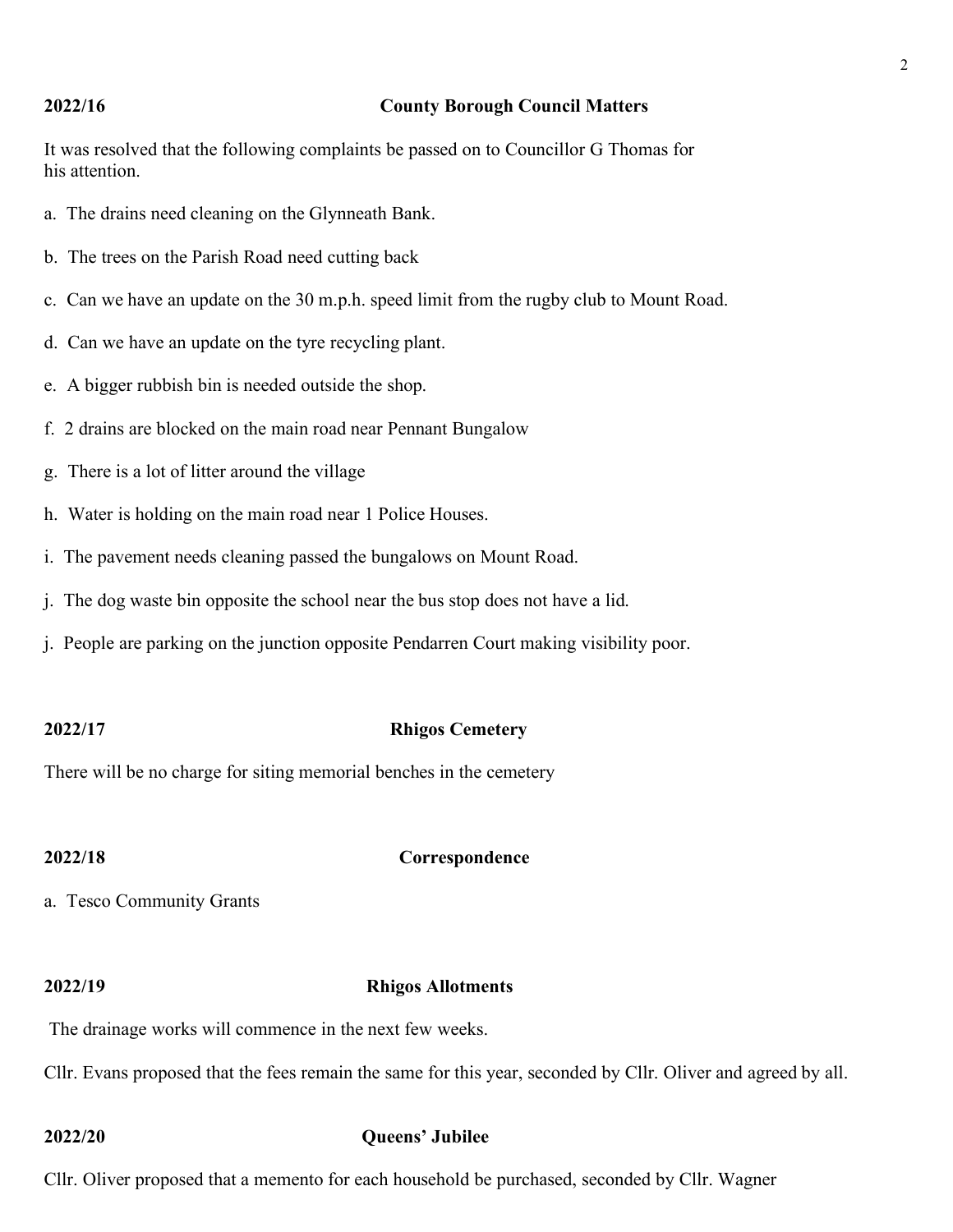### **2022/16 County Borough Council Matters**

It was resolved that the following complaints be passed on to Councillor G Thomas for his attention.

- a. The drains need cleaning on the Glynneath Bank.
- b. The trees on the Parish Road need cutting back
- c. Can we have an update on the 30 m.p.h. speed limit from the rugby club to Mount Road.
- d. Can we have an update on the tyre recycling plant.
- e. A bigger rubbish bin is needed outside the shop.
- f. 2 drains are blocked on the main road near Pennant Bungalow
- g. There is a lot of litter around the village
- h. Water is holding on the main road near 1 Police Houses.
- i. The pavement needs cleaning passed the bungalows on Mount Road.
- j. The dog waste bin opposite the school near the bus stop does not have a lid.
- j. People are parking on the junction opposite Pendarren Court making visibility poor.

### **2022/17 Rhigos Cemetery**

There will be no charge for siting memorial benches in the cemetery

### **2022/18 Correspondence**

a. Tesco Community Grants

### **2022/19 Rhigos Allotments**

The drainage works will commence in the next few weeks.

Cllr. Evans proposed that the fees remain the same for this year, seconded by Cllr. Oliver and agreed by all.

### **2022/20 Queens' Jubilee**

Cllr. Oliver proposed that a memento for each household be purchased, seconded by Cllr. Wagner